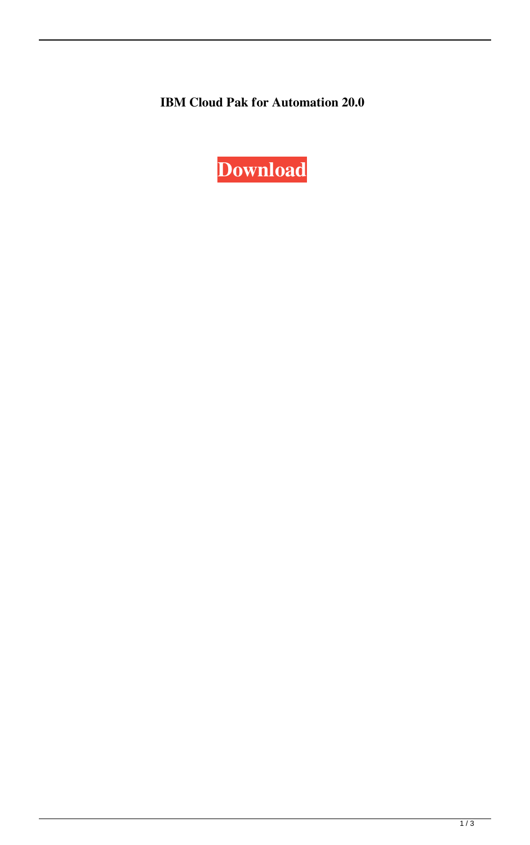**IBM Cloud Pak for Automation 20.0**

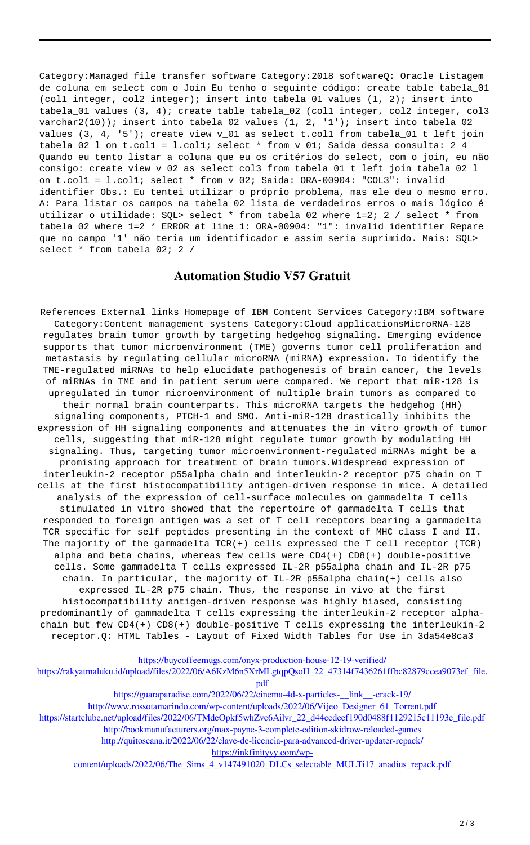Category:Managed file transfer software Category:2018 softwareQ: Oracle Listagem de coluna em select com o Join Eu tenho o seguinte código: create table tabela\_01 (col1 integer, col2 integer); insert into tabela\_01 values (1, 2); insert into tabela\_01 values (3, 4); create table tabela\_02 (col1 integer, col2 integer, col3 varchar2(10)); insert into tabela\_02 values (1, 2, '1'); insert into tabela\_02 values (3, 4, '5'); create view v\_01 as select t.col1 from tabela\_01 t left join tabela\_02 l on t.col1 = l.col1; select \* from v\_01; Saida dessa consulta: 2 4 Quando eu tento listar a coluna que eu os critérios do select, com o join, eu não consigo: create view v\_02 as select col3 from tabela\_01 t left join tabela\_02 l on t.col1 = l.col1; select \* from v\_02; Saida: ORA-00904: "COL3": invalid identifier Obs.: Eu tentei utilizar o próprio problema, mas ele deu o mesmo erro. A: Para listar os campos na tabela\_02 lista de verdadeiros erros o mais lógico é utilizar o utilidade: SQL> select \* from tabela\_02 where 1=2; 2 / select \* from tabela\_02 where 1=2 \* ERROR at line 1: ORA-00904: "1": invalid identifier Repare que no campo '1' não teria um identificador e assim seria suprimido. Mais: SQL> select \* from tabela\_02; 2 /

## **Automation Studio V57 Gratuit**

References External links Homepage of IBM Content Services Category:IBM software Category:Content management systems Category:Cloud applicationsMicroRNA-128 regulates brain tumor growth by targeting hedgehog signaling. Emerging evidence supports that tumor microenvironment (TME) governs tumor cell proliferation and metastasis by regulating cellular microRNA (miRNA) expression. To identify the TME-regulated miRNAs to help elucidate pathogenesis of brain cancer, the levels of miRNAs in TME and in patient serum were compared. We report that miR-128 is upregulated in tumor microenvironment of multiple brain tumors as compared to their normal brain counterparts. This microRNA targets the hedgehog (HH) signaling components, PTCH-1 and SMO. Anti-miR-128 drastically inhibits the expression of HH signaling components and attenuates the in vitro growth of tumor cells, suggesting that miR-128 might regulate tumor growth by modulating HH signaling. Thus, targeting tumor microenvironment-regulated miRNAs might be a promising approach for treatment of brain tumors.Widespread expression of interleukin-2 receptor p55alpha chain and interleukin-2 receptor p75 chain on T cells at the first histocompatibility antigen-driven response in mice. A detailed analysis of the expression of cell-surface molecules on gammadelta T cells stimulated in vitro showed that the repertoire of gammadelta T cells that responded to foreign antigen was a set of T cell receptors bearing a gammadelta TCR specific for self peptides presenting in the context of MHC class I and II. The majority of the gammadelta  $TCR(+)$  cells expressed the T cell receptor (TCR) alpha and beta chains, whereas few cells were  $CD4(+)$  CD8 $(+)$  double-positive cells. Some gammadelta T cells expressed IL-2R p55alpha chain and IL-2R p75 chain. In particular, the majority of IL-2R p55alpha chain(+) cells also expressed IL-2R p75 chain. Thus, the response in vivo at the first histocompatibility antigen-driven response was highly biased, consisting predominantly of gammadelta T cells expressing the interleukin-2 receptor alphachain but few CD4(+) CD8(+) double-positive T cells expressing the interleukin-2 receptor.Q: HTML Tables - Layout of Fixed Width Tables for Use in 3da54e8ca3

<https://buycoffeemugs.com/onyx-production-house-12-19-verified/>

[https://rakyatmaluku.id/upload/files/2022/06/A6KzM6n5XrMLgtqpQsoH\\_22\\_47314f7436261ffbc82879ccea9073ef\\_file.](https://rakyatmaluku.id/upload/files/2022/06/A6KzM6n5XrMLgtqpQsoH_22_47314f7436261ffbc82879ccea9073ef_file.pdf) [pdf](https://rakyatmaluku.id/upload/files/2022/06/A6KzM6n5XrMLgtqpQsoH_22_47314f7436261ffbc82879ccea9073ef_file.pdf)

[https://guaraparadise.com/2022/06/22/cinema-4d-x-particles-\\_\\_link\\_\\_-crack-19/](https://guaraparadise.com/2022/06/22/cinema-4d-x-particles-__link__-crack-19/)

[http://www.rossotamarindo.com/wp-content/uploads/2022/06/Vijeo\\_Designer\\_61\\_Torrent.pdf](http://www.rossotamarindo.com/wp-content/uploads/2022/06/Vijeo_Designer_61_Torrent.pdf)

[https://startclube.net/upload/files/2022/06/TMdeOpkf5whZvc6Ailvr\\_22\\_d44ccdeef190d0488f1129215c11193e\\_file.pdf](https://startclube.net/upload/files/2022/06/TMdeOpkf5whZvc6Ailvr_22_d44ccdeef190d0488f1129215c11193e_file.pdf)

<http://bookmanufacturers.org/max-payne-3-complete-edition-skidrow-reloaded-games> <http://quitoscana.it/2022/06/22/clave-de-licencia-para-advanced-driver-updater-repack/>

[https://inkfinityyy.com/wp-](https://inkfinityyy.com/wp-content/uploads/2022/06/The_Sims_4_v147491020_DLCs_selectable_MULTi17_anadius_repack.pdf)

content/uploads/2022/06/The Sims 4 v147491020 DLCs selectable MULTi17 anadius repack.pdf